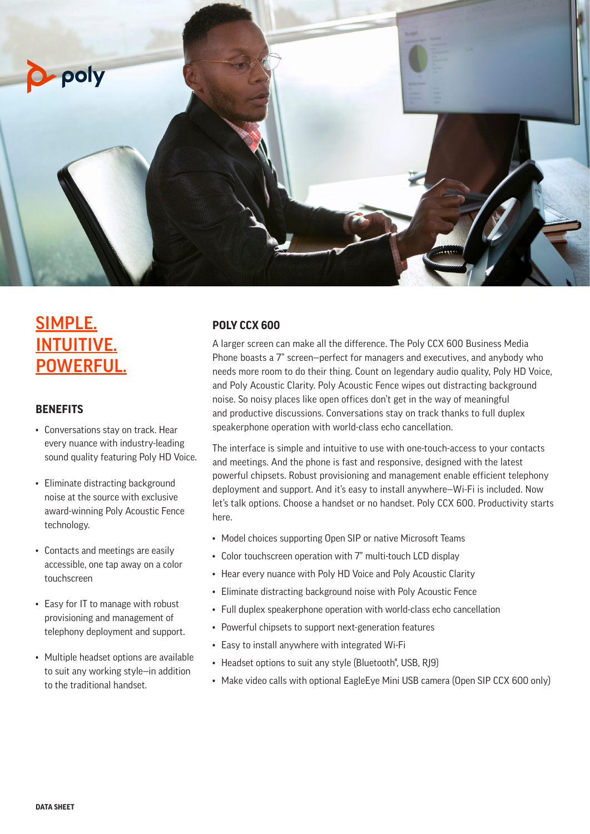

# SIMPLE. INTUITIVE. POWERFUL.

## **BENEFITS**

- Conversations stay on track. Hear every nuance with industry-leading sound quality featuring Poly HD Voice.
- Eliminate distracting background noise at the source with exclusive award-winning Poly Acoustic Fence technology.
- Contacts and meetings are easily accessible, one tap away on a color touchscreen
- Easy for IT to manage with robust provisioning and management of telephony deployment and support.
- Multiple headset options are available to suit any working style—in addition to the traditional handset.

## **POLY CCX 600**

A larger screen can make all the difference. The Poly CCX 600 Business Media Phone boasts a 7" screen—perfect for managers and executives, and anybody who needs more room to do their thing. Count on legendary audio quality, Poly HD Voice, and Poly Acoustic Clarity. Poly Acoustic Fence wipes out distracting background noise. So noisy places like open offices don't get in the way of meaningful and productive discussions. Conversations stay on track thanks to full duplex speakerphone operation with world-class echo cancellation.

The interface is simple and intuitive to use with one-touch-access to your contacts and meetings. And the phone is fast and responsive, designed with the latest powerful chipsets. Robust provisioning and management enable efficient telephony deployment and support. And it's easy to install anywhere—Wi-Fi is included. Now let's talk options. Choose a handset or no handset. Poly CCX 600. Productivity starts here.

- Model choices supporting Open SIP or native Microsoft Teams
- Color touchscreen operation with 7" multi-touch LCD display
- Hear every nuance with Poly HD Voice and Poly Acoustic Clarity
- Eliminate distracting background noise with Poly Acoustic Fence
- Full duplex speakerphone operation with world-class echo cancellation
- Powerful chipsets to support next-generation features
- Easy to install anywhere with integrated Wi-Fi
- Headset options to suit any style (Bluetooth<sup>®</sup>, USB, RJ9)
- Make video calls with optional EagleEye Mini USB camera (Open SIP CCX 600 only)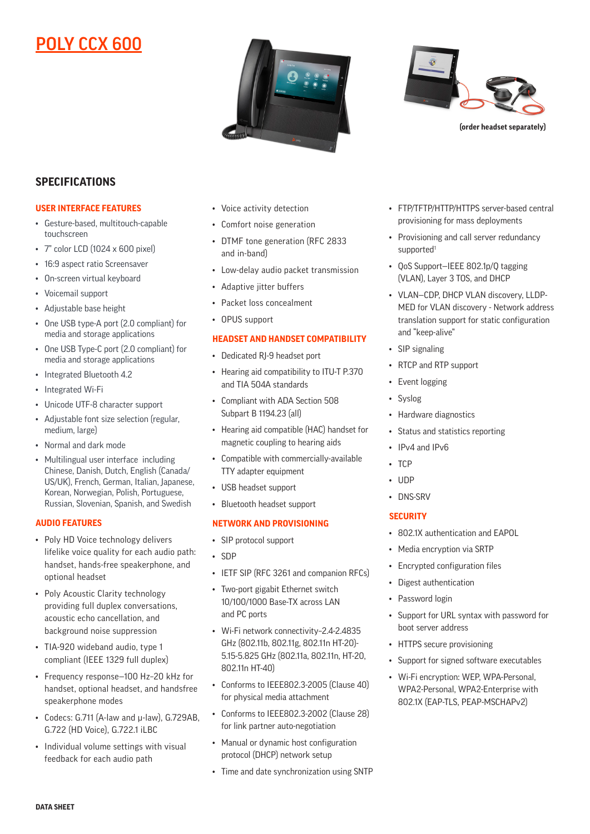# POLY CCX 600





**(order headset separately)**

# **SPECIFICATIONS**

#### **USER INTERFACE FEATURES**

- Gesture-based, multitouch-capable touchscreen
- 7" color LCD (1024 x 600 pixel)
- 16:9 aspect ratio Screensaver
- On-screen virtual keyboard
- Voicemail support
- Adjustable base height
- One USB type-A port (2.0 compliant) for media and storage applications
- One USB Type-C port (2.0 compliant) for media and storage applications
- Integrated Bluetooth 4.2
- Integrated Wi-Fi
- Unicode UTF-8 character support
- Adjustable font size selection (regular, medium, large)
- Normal and dark mode
- Multilingual user interface including Chinese, Danish, Dutch, English (Canada/ US/UK), French, German, Italian, Japanese, Korean, Norwegian, Polish, Portuguese, Russian, Slovenian, Spanish, and Swedish

#### **AUDIO FEATURES**

- Poly HD Voice technology delivers lifelike voice quality for each audio path: handset, hands-free speakerphone, and optional headset
- Poly Acoustic Clarity technology providing full duplex conversations, acoustic echo cancellation, and background noise suppression
- TIA-920 wideband audio, type 1 compliant (IEEE 1329 full duplex)
- Frequency response—100 Hz–20 kHz for handset, optional headset, and handsfree speakerphone modes
- Codecs: G.711 (A-law and μ-law), G.729AB, G.722 (HD Voice), G.722.1 iLBC
- Individual volume settings with visual feedback for each audio path
- Voice activity detection
- Comfort noise generation
- DTMF tone generation (RFC 2833 and in-band)
- Low-delay audio packet transmission
- Adaptive jitter buffers
- Packet loss concealment
- OPUS support

#### **HEADSET AND HANDSET COMPATIBILITY**

- Dedicated RJ-9 headset port
- Hearing aid compatibility to ITU-T P.370 and TIA 504A standards
- Compliant with ADA Section 508 Subpart B 1194.23 (all)
- Hearing aid compatible (HAC) handset for magnetic coupling to hearing aids
- Compatible with commercially-available TTY adapter equipment
- USB headset support
- Bluetooth headset support

#### **NETWORK AND PROVISIONING**

- SIP protocol support
- SDP
- IETF SIP (RFC 3261 and companion RFCs)
- Two-port gigabit Ethernet switch 10/100/1000 Base-TX across LAN and PC ports
- Wi-Fi network connectivity–2.4-2.4835 GHz (802.11b, 802.11g, 802.11n HT-20)- 5.15-5.825 GHz (802.11a, 802.11n, HT-20, 802.11n HT-40)
- Conforms to IEEE802.3-2005 (Clause 40) for physical media attachment
- Conforms to IEEE802.3-2002 (Clause 28) for link partner auto-negotiation
- Manual or dynamic host configuration protocol (DHCP) network setup
- Time and date synchronization using SNTP
- FTP/TFTP/HTTP/HTTPS server-based central provisioning for mass deployments
- Provisioning and call server redundancy supported<sup>1</sup>
- QoS Support—IEEE 802.1p/Q tagging (VLAN), Layer 3 TOS, and DHCP
- VLAN—CDP, DHCP VLAN discovery, LLDP-MED for VLAN discovery - Network address translation support for static configuration and "keep-alive"
- SIP signaling
- RTCP and RTP support
- Event logging
- Syslog
- Hardware diagnostics
- Status and statistics reporting
- IPv4 and IPv6
- TCP
- UDP
- DNS-SRV

#### **SECURITY**

- 802.1X authentication and EAPOL
- Media encryption via SRTP
- Encrypted configuration files
- Digest authentication
- Password login
- Support for URL syntax with password for boot server address
- HTTPS secure provisioning
- Support for signed software executables
- Wi-Fi encryption: WEP, WPA-Personal, WPA2-Personal, WPA2-Enterprise with 802.1X (EAP-TLS, PEAP-MSCHAPv2)